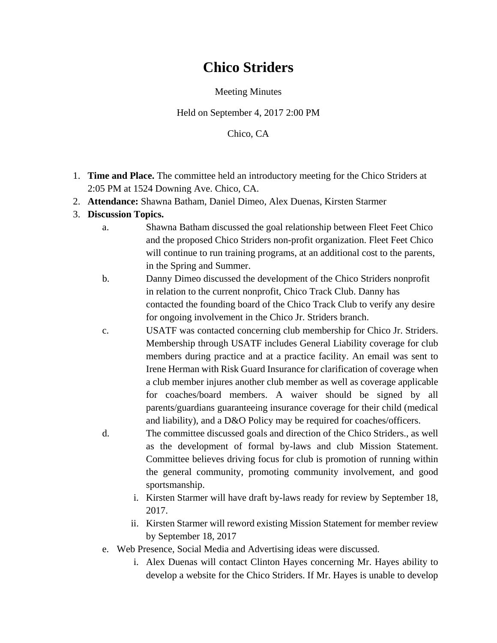## **Chico Striders**

Meeting Minutes

Held on September 4, 2017 2:00 PM

Chico, CA

- 1. **Time and Place.** The committee held an introductory meeting for the Chico Striders at 2:05 PM at 1524 Downing Ave. Chico, CA.
- 2. **Attendance:** Shawna Batham, Daniel Dimeo, Alex Duenas, Kirsten Starmer
- 3. **Discussion Topics.**
	- a. Shawna Batham discussed the goal relationship between Fleet Feet Chico and the proposed Chico Striders non-profit organization. Fleet Feet Chico will continue to run training programs, at an additional cost to the parents, in the Spring and Summer.
	- b. Danny Dimeo discussed the development of the Chico Striders nonprofit in relation to the current nonprofit, Chico Track Club. Danny has contacted the founding board of the Chico Track Club to verify any desire for ongoing involvement in the Chico Jr. Striders branch.
	- c. USATF was contacted concerning club membership for Chico Jr. Striders. Membership through USATF includes General Liability coverage for club members during practice and at a practice facility. An email was sent to Irene Herman with Risk Guard Insurance for clarification of coverage when a club member injures another club member as well as coverage applicable for coaches/board members. A waiver should be signed by all parents/guardians guaranteeing insurance coverage for their child (medical and liability), and a D&O Policy may be required for coaches/officers.
	- d. The committee discussed goals and direction of the Chico Striders., as well as the development of formal by-laws and club Mission Statement. Committee believes driving focus for club is promotion of running within the general community, promoting community involvement, and good sportsmanship.
		- i. Kirsten Starmer will have draft by-laws ready for review by September 18, 2017.
		- ii. Kirsten Starmer will reword existing Mission Statement for member review by September 18, 2017
	- e. Web Presence, Social Media and Advertising ideas were discussed.
		- i. Alex Duenas will contact Clinton Hayes concerning Mr. Hayes ability to develop a website for the Chico Striders. If Mr. Hayes is unable to develop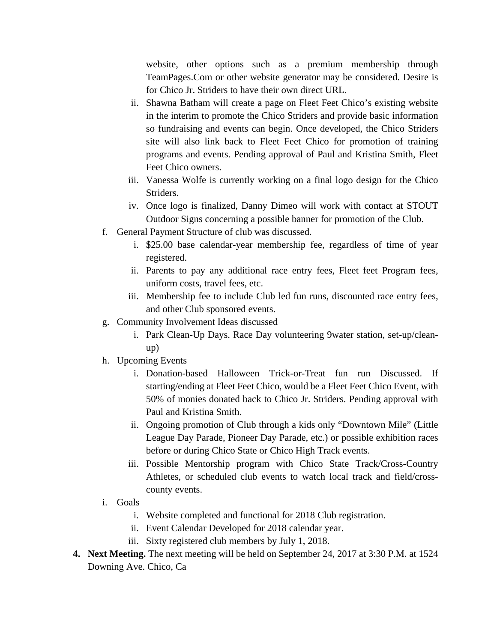website, other options such as a premium membership through TeamPages.Com or other website generator may be considered. Desire is for Chico Jr. Striders to have their own direct URL.

- ii. Shawna Batham will create a page on Fleet Feet Chico's existing website in the interim to promote the Chico Striders and provide basic information so fundraising and events can begin. Once developed, the Chico Striders site will also link back to Fleet Feet Chico for promotion of training programs and events. Pending approval of Paul and Kristina Smith, Fleet Feet Chico owners.
- iii. Vanessa Wolfe is currently working on a final logo design for the Chico Striders.
- iv. Once logo is finalized, Danny Dimeo will work with contact at STOUT Outdoor Signs concerning a possible banner for promotion of the Club.
- f. General Payment Structure of club was discussed.
	- i. \$25.00 base calendar-year membership fee, regardless of time of year registered.
	- ii. Parents to pay any additional race entry fees, Fleet feet Program fees, uniform costs, travel fees, etc.
	- iii. Membership fee to include Club led fun runs, discounted race entry fees, and other Club sponsored events.
- g. Community Involvement Ideas discussed
	- i. Park Clean-Up Days. Race Day volunteering 9water station, set-up/cleanup)
- h. Upcoming Events
	- i. Donation-based Halloween Trick-or-Treat fun run Discussed. If starting/ending at Fleet Feet Chico, would be a Fleet Feet Chico Event, with 50% of monies donated back to Chico Jr. Striders. Pending approval with Paul and Kristina Smith.
	- ii. Ongoing promotion of Club through a kids only "Downtown Mile" (Little League Day Parade, Pioneer Day Parade, etc.) or possible exhibition races before or during Chico State or Chico High Track events.
	- iii. Possible Mentorship program with Chico State Track/Cross-Country Athletes, or scheduled club events to watch local track and field/crosscounty events.
- i. Goals
	- i. Website completed and functional for 2018 Club registration.
	- ii. Event Calendar Developed for 2018 calendar year.
	- iii. Sixty registered club members by July 1, 2018.
- **4. Next Meeting.** The next meeting will be held on September 24, 2017 at 3:30 P.M. at 1524 Downing Ave. Chico, Ca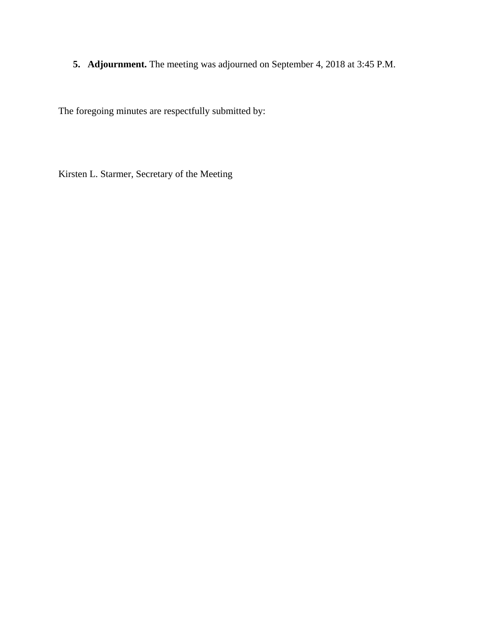**5. Adjournment.** The meeting was adjourned on September 4, 2018 at 3:45 P.M.

The foregoing minutes are respectfully submitted by:

Kirsten L. Starmer, Secretary of the Meeting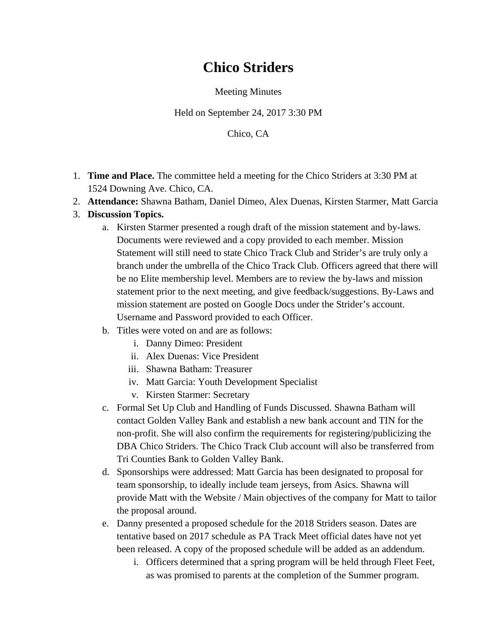## **Chico Striders**

Meeting Minutes

Held on September 24, 2017 3:30 PM

Chico, CA

- 1. **Time and Place.** The committee held a meeting for the Chico Striders at 3:30 PM at 1524 Downing Ave. Chico, CA.
- 2. **Attendance:** Shawna Batham, Daniel Dimeo, Alex Duenas, Kirsten Starmer, Matt Garcia
- 3. **Discussion Topics.**
	- a. Kirsten Starmer presented a rough draft of the mission statement and by-laws. Documents were reviewed and a copy provided to each member. Mission Statement will still need to state Chico Track Club and Strider's are truly only a branch under the umbrella of the Chico Track Club. Officers agreed that there will be no Elite membership level. Members are to review the by-laws and mission statement prior to the next meeting, and give feedback/suggestions. By-Laws and mission statement are posted on Google Docs under the Strider's account. Username and Password provided to each Officer.
	- b. Titles were voted on and are as follows:
		- i. Danny Dimeo: President
		- ii. Alex Duenas: Vice President
		- iii. Shawna Batham: Treasurer
		- iv. Matt Garcia: Youth Development Specialist
		- v. Kirsten Starmer: Secretary
	- c. Formal Set Up Club and Handling of Funds Discussed. Shawna Batham will contact Golden Valley Bank and establish a new bank account and TIN for the non-profit. She will also confirm the requirements for registering/publicizing the DBA Chico Striders. The Chico Track Club account will also be transferred from Tri Counties Bank to Golden Valley Bank.
	- d. Sponsorships were addressed: Matt Garcia has been designated to proposal for team sponsorship, to ideally include team jerseys, from Asics. Shawna will provide Matt with the Website / Main objectives of the company for Matt to tailor the proposal around.
	- e. Danny presented a proposed schedule for the 2018 Striders season. Dates are tentative based on 2017 schedule as PA Track Meet official dates have not yet been released. A copy of the proposed schedule will be added as an addendum.
		- i. Officers determined that a spring program will be held through Fleet Feet, as was promised to parents at the completion of the Summer program.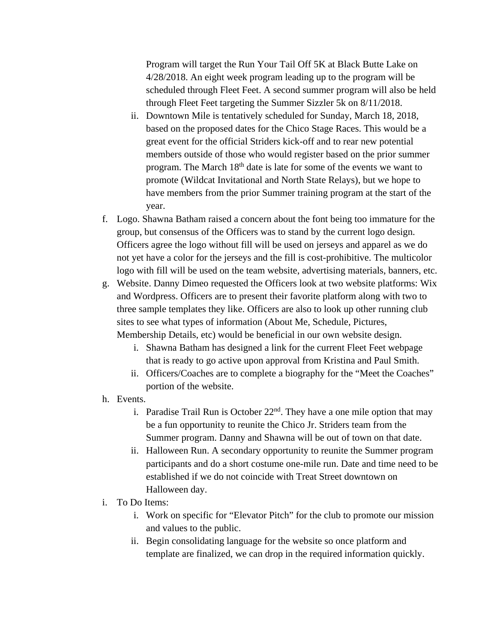Program will target the Run Your Tail Off 5K at Black Butte Lake on 4/28/2018. An eight week program leading up to the program will be scheduled through Fleet Feet. A second summer program will also be held through Fleet Feet targeting the Summer Sizzler 5k on 8/11/2018.

- ii. Downtown Mile is tentatively scheduled for Sunday, March 18, 2018, based on the proposed dates for the Chico Stage Races. This would be a great event for the official Striders kick-off and to rear new potential members outside of those who would register based on the prior summer program. The March 18th date is late for some of the events we want to promote (Wildcat Invitational and North State Relays), but we hope to have members from the prior Summer training program at the start of the year.
- f. Logo. Shawna Batham raised a concern about the font being too immature for the group, but consensus of the Officers was to stand by the current logo design. Officers agree the logo without fill will be used on jerseys and apparel as we do not yet have a color for the jerseys and the fill is cost-prohibitive. The multicolor logo with fill will be used on the team website, advertising materials, banners, etc.
- g. Website. Danny Dimeo requested the Officers look at two website platforms: Wix and Wordpress. Officers are to present their favorite platform along with two to three sample templates they like. Officers are also to look up other running club sites to see what types of information (About Me, Schedule, Pictures, Membership Details, etc) would be beneficial in our own website design.
	- i. Shawna Batham has designed a link for the current Fleet Feet webpage that is ready to go active upon approval from Kristina and Paul Smith.
	- ii. Officers/Coaches are to complete a biography for the "Meet the Coaches" portion of the website.
- h. Events.
	- i. Paradise Trail Run is October  $22<sup>nd</sup>$ . They have a one mile option that may be a fun opportunity to reunite the Chico Jr. Striders team from the Summer program. Danny and Shawna will be out of town on that date.
	- ii. Halloween Run. A secondary opportunity to reunite the Summer program participants and do a short costume one-mile run. Date and time need to be established if we do not coincide with Treat Street downtown on Halloween day.
- i. To Do Items:
	- i. Work on specific for "Elevator Pitch" for the club to promote our mission and values to the public.
	- ii. Begin consolidating language for the website so once platform and template are finalized, we can drop in the required information quickly.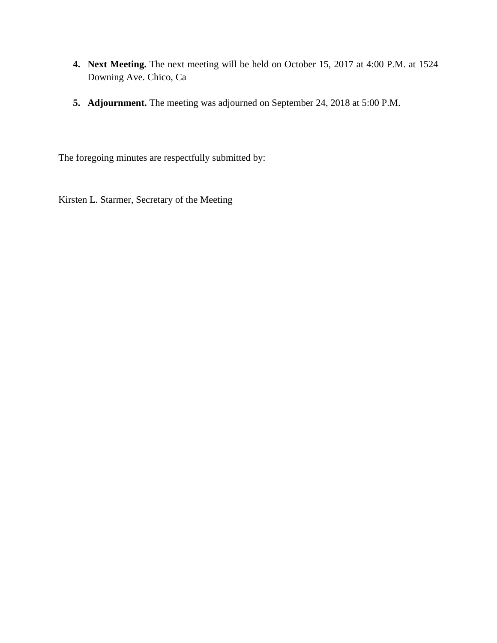- **4. Next Meeting.** The next meeting will be held on October 15, 2017 at 4:00 P.M. at 1524 Downing Ave. Chico, Ca
- **5. Adjournment.** The meeting was adjourned on September 24, 2018 at 5:00 P.M.

The foregoing minutes are respectfully submitted by:

Kirsten L. Starmer, Secretary of the Meeting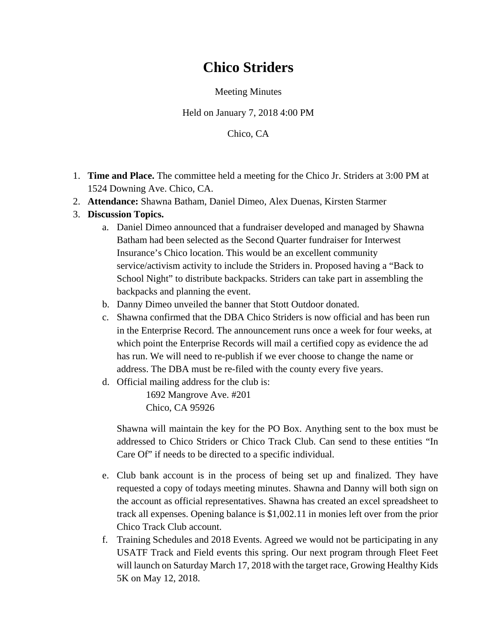## **Chico Striders**

Meeting Minutes

Held on January 7, 2018 4:00 PM

Chico, CA

- 1. **Time and Place.** The committee held a meeting for the Chico Jr. Striders at 3:00 PM at 1524 Downing Ave. Chico, CA.
- 2. **Attendance:** Shawna Batham, Daniel Dimeo, Alex Duenas, Kirsten Starmer
- 3. **Discussion Topics.**
	- a. Daniel Dimeo announced that a fundraiser developed and managed by Shawna Batham had been selected as the Second Quarter fundraiser for Interwest Insurance's Chico location. This would be an excellent community service/activism activity to include the Striders in. Proposed having a "Back to School Night" to distribute backpacks. Striders can take part in assembling the backpacks and planning the event.
	- b. Danny Dimeo unveiled the banner that Stott Outdoor donated.
	- c. Shawna confirmed that the DBA Chico Striders is now official and has been run in the Enterprise Record. The announcement runs once a week for four weeks, at which point the Enterprise Records will mail a certified copy as evidence the ad has run. We will need to re-publish if we ever choose to change the name or address. The DBA must be re-filed with the county every five years.
	- d. Official mailing address for the club is:

1692 Mangrove Ave. #201 Chico, CA 95926

Shawna will maintain the key for the PO Box. Anything sent to the box must be addressed to Chico Striders or Chico Track Club. Can send to these entities "In Care Of" if needs to be directed to a specific individual.

- e. Club bank account is in the process of being set up and finalized. They have requested a copy of todays meeting minutes. Shawna and Danny will both sign on the account as official representatives. Shawna has created an excel spreadsheet to track all expenses. Opening balance is \$1,002.11 in monies left over from the prior Chico Track Club account.
- f. Training Schedules and 2018 Events. Agreed we would not be participating in any USATF Track and Field events this spring. Our next program through Fleet Feet will launch on Saturday March 17, 2018 with the target race, Growing Healthy Kids 5K on May 12, 2018.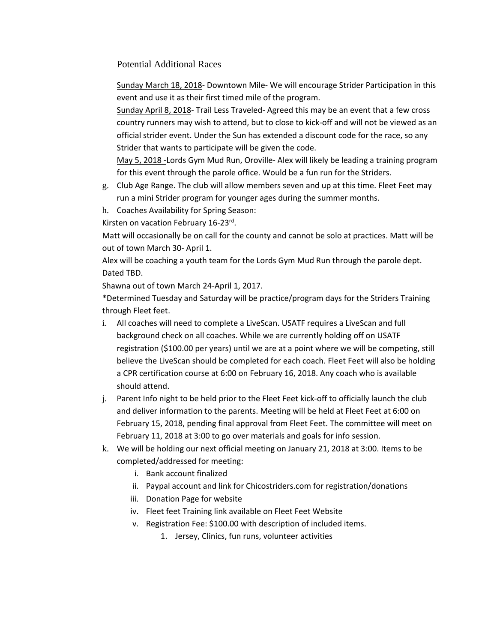Potential Additional Races

Sunday March 18, 2018- Downtown Mile- We will encourage Strider Participation in this event and use it as their first timed mile of the program.

Sunday April 8, 2018- Trail Less Traveled- Agreed this may be an event that a few cross country runners may wish to attend, but to close to kick-off and will not be viewed as an official strider event. Under the Sun has extended a discount code for the race, so any Strider that wants to participate will be given the code.

May 5, 2018 -Lords Gym Mud Run, Oroville- Alex will likely be leading a training program for this event through the parole office. Would be a fun run for the Striders.

- g. Club Age Range. The club will allow members seven and up at this time. Fleet Feet may run a mini Strider program for younger ages during the summer months.
- h. Coaches Availability for Spring Season:

Kirsten on vacation February 16-23rd.

Matt will occasionally be on call for the county and cannot be solo at practices. Matt will be out of town March 30- April 1.

Alex will be coaching a youth team for the Lords Gym Mud Run through the parole dept. Dated TBD.

Shawna out of town March 24-April 1, 2017.

\*Determined Tuesday and Saturday will be practice/program days for the Striders Training through Fleet feet.

- i. All coaches will need to complete a LiveScan. USATF requires a LiveScan and full background check on all coaches. While we are currently holding off on USATF registration (\$100.00 per years) until we are at a point where we will be competing, still believe the LiveScan should be completed for each coach. Fleet Feet will also be holding a CPR certification course at 6:00 on February 16, 2018. Any coach who is available should attend.
- j. Parent Info night to be held prior to the Fleet Feet kick-off to officially launch the club and deliver information to the parents. Meeting will be held at Fleet Feet at 6:00 on February 15, 2018, pending final approval from Fleet Feet. The committee will meet on February 11, 2018 at 3:00 to go over materials and goals for info session.
- k. We will be holding our next official meeting on January 21, 2018 at 3:00. Items to be completed/addressed for meeting:
	- i. Bank account finalized
	- ii. Paypal account and link for Chicostriders.com for registration/donations
	- iii. Donation Page for website
	- iv. Fleet feet Training link available on Fleet Feet Website
	- v. Registration Fee: \$100.00 with description of included items.
		- 1. Jersey, Clinics, fun runs, volunteer activities